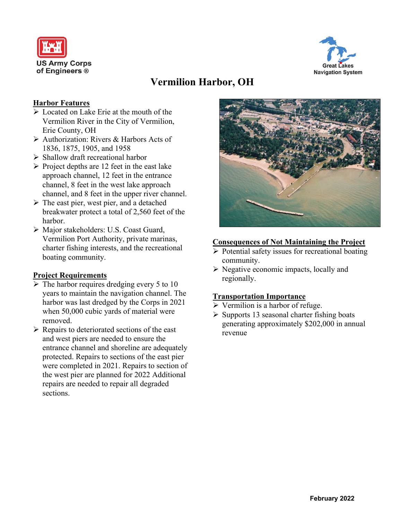



# **Vermilion Harbor, OH**

#### **Harbor Features**

- ➢ Located on Lake Erie at the mouth of the Vermilion River in the City of Vermilion, Erie County, OH
- ➢ Authorization: Rivers & Harbors Acts of 1836, 1875, 1905, and 1958
- ➢ Shallow draft recreational harbor
- $\triangleright$  Project depths are 12 feet in the east lake approach channel, 12 feet in the entrance channel, 8 feet in the west lake approach channel, and 8 feet in the upper river channel.
- ➢ The east pier, west pier, and a detached breakwater protect a total of 2,560 feet of the harbor.
- ➢ Major stakeholders: U.S. Coast Guard, Vermilion Port Authority, private marinas, charter fishing interests, and the recreational boating community.

### **Project Requirements**

- $\triangleright$  The harbor requires dredging every 5 to 10 years to maintain the navigation channel. The harbor was last dredged by the Corps in 2021 when 50,000 cubic yards of material were removed.
- $\triangleright$  Repairs to deteriorated sections of the east and west piers are needed to ensure the entrance channel and shoreline are adequately protected. Repairs to sections of the east pier were completed in 2021. Repairs to section of the west pier are planned for 2022 Additional repairs are needed to repair all degraded sections.



#### **Consequences of Not Maintaining the Project**

- $\triangleright$  Potential safety issues for recreational boating community.
- ➢ Negative economic impacts, locally and regionally.

#### **Transportation Importance**

- $\triangleright$  Vermilion is a harbor of refuge.
- $\triangleright$  Supports 13 seasonal charter fishing boats generating approximately \$202,000 in annual revenue